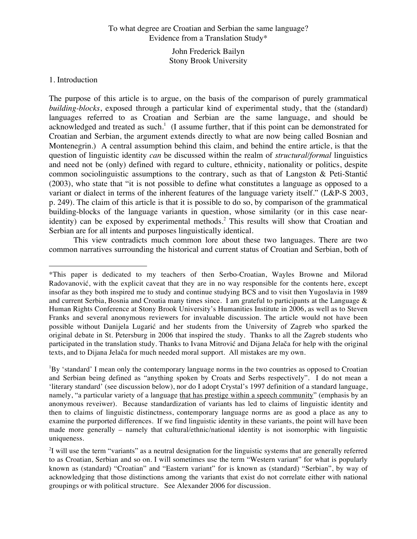# To what degree are Croatian and Serbian the same language? Evidence from a Translation Study\*

John Frederick Bailyn Stony Brook University

# 1. Introduction

 $\overline{a}$ 

The purpose of this article is to argue, on the basis of the comparison of purely grammatical *building-blocks*, exposed through a particular kind of experimental study, that the (standard) languages referred to as Croatian and Serbian are the same language, and should be acknowledged and treated as such.<sup>1</sup> (I assume further, that if this point can be demonstrated for Croatian and Serbian, the argument extends directly to what are now being called Bosnian and Montenegrin.) A central assumption behind this claim, and behind the entire article, is that the question of linguistic identity *can* be discussed within the realm of *structural/formal* linguistics and need not be (only) defined with regard to culture, ethnicity, nationality or politics, despite common sociolinguistic assumptions to the contrary, such as that of Langston & Peti-Stantić (2003), who state that "it is not possible to define what constitutes a language as opposed to a variant or dialect in terms of the inherent features of the language variety itself." (L&P-S 2003, p. 249). The claim of this article is that it is possible to do so, by comparison of the grammatical building-blocks of the language variants in question, whose similarity (or in this case nearidentity) can be exposed by experimental methods.<sup>2</sup> This results will show that Croatian and Serbian are for all intents and purposes linguistically identical.

This view contradicts much common lore about these two languages. There are two common narratives surrounding the historical and current status of Croatian and Serbian, both of

<sup>\*</sup>This paper is dedicated to my teachers of then Serbo-Croatian, Wayles Browne and Milorad Radovanović, with the explicit caveat that they are in no way responsible for the contents here, except insofar as they both inspired me to study and continue studying BCS and to visit then Yugoslavia in 1989 and current Serbia, Bosnia and Croatia many times since. I am grateful to participants at the Language  $\&$ Human Rights Conference at Stony Brook University's Humanities Institute in 2006, as well as to Steven Franks and several anonymous reviewers for invaluable discussion. The article would not have been possible without Danijela Lugarić and her students from the University of Zagreb who sparked the original debate in St. Petersburg in 2006 that inspired the study. Thanks to all the Zagreb students who participated in the translation study. Thanks to Ivana Mitrović and Dijana Jelača for help with the original texts, and to Dijana Jelača for much needed moral support. All mistakes are my own.

<sup>&</sup>lt;sup>1</sup>By 'standard' I mean only the contemporary language norms in the two countries as opposed to Croatian and Serbian being defined as "anything spoken by Croats and Serbs respectively". I do not mean a 'literary standard' (see discussion below), nor do I adopt Crystal's 1997 definition of a standard language, namely, "a particular variety of a language that has prestige within a speech community" (emphasis by an anonymous reveiwer). Because standardization of variants has led to claims of linguistic identity and then to claims of linguistic distinctness, contemporary language norms are as good a place as any to examine the purported differences. If we find linguistic identity in these variants, the point will have been made more generally – namely that cultural/ethnic/national identity is not isomorphic with linguistic uniqueness.

 $2$ I will use the term "variants" as a neutral designation for the linguistic systems that are generally referred to as Croatian, Serbian and so on. I will sometimes use the term "Western variant" for what is popularly known as (standard) "Croatian" and "Eastern variant" for is known as (standard) "Serbian", by way of acknowledging that those distinctions among the variants that exist do not correlate either with national groupings or with political structure. See Alexander 2006 for discussion.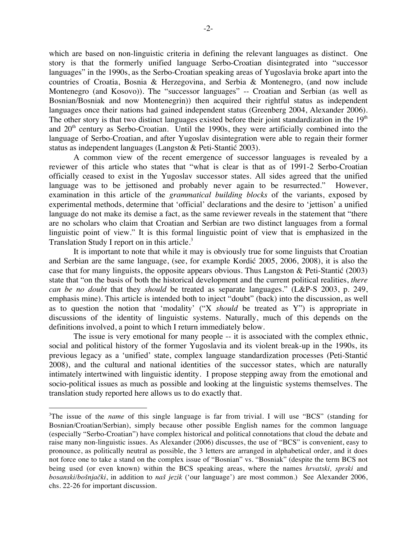which are based on non-linguistic criteria in defining the relevant languages as distinct. One story is that the formerly unified language Serbo-Croatian disintegrated into "successor languages" in the 1990s, as the Serbo-Croatian speaking areas of Yugoslavia broke apart into the countries of Croatia, Bosnia & Herzegovina, and Serbia & Montenegro, (and now include Montenegro (and Kosovo)). The "successor languages" -- Croatian and Serbian (as well as Bosnian/Bosniak and now Montenegrin)) then acquired their rightful status as independent languages once their nations had gained independent status (Greenberg 2004, Alexander 2006). The other story is that two distinct languages existed before their joint standardization in the  $19<sup>th</sup>$ and 20<sup>th</sup> century as Serbo-Croatian. Until the 1990s, they were artificially combined into the language of Serbo-Croatian, and after Yugoslav disintegration were able to regain their former status as independent languages (Langston & Peti-Stantić 2003).

A common view of the recent emergence of successor languages is revealed by a reviewer of this article who states that "what is clear is that as of 1991-2 Serbo-Croatian officially ceased to exist in the Yugoslav successor states. All sides agreed that the unified language was to be jettisoned and probably never again to be resurrected." However, examination in this article of the *grammatical building blocks* of the variants, exposed by experimental methods, determine that 'official' declarations and the desire to 'jettison' a unified language do not make its demise a fact, as the same reviewer reveals in the statement that "there are no scholars who claim that Croatian and Serbian are two distinct languages from a formal linguistic point of view." It is this formal linguistic point of view that is emphasized in the Translation Study I report on in this article.<sup>3</sup>

It is important to note that while it may is obviously true for some linguists that Croatian and Serbian are the same language, (see, for example Kordić 2005, 2006, 2008), it is also the case that for many linguists, the opposite appears obvious. Thus Langston & Peti-Stantić (2003) state that "on the basis of both the historical development and the current political realities, *there can be no doubt* that they *should* be treated as separate languages." (L&P-S 2003, p. 249, emphasis mine). This article is intended both to inject "doubt" (back) into the discussion, as well as to question the notion that 'modality' ("X *should* be treated as Y") is appropriate in discussions of the identity of linguistic systems. Naturally, much of this depends on the definitions involved, a point to which I return immediately below.

The issue is very emotional for many people -- it is associated with the complex ethnic, social and political history of the former Yugoslavia and its violent break-up in the 1990s, its previous legacy as a 'unified' state, complex language standardization processes (Peti-Stantić 2008), and the cultural and national identities of the successor states, which are naturally intimately intertwined with linguistic identity. I propose stepping away from the emotional and socio-political issues as much as possible and looking at the linguistic systems themselves. The translation study reported here allows us to do exactly that.

<sup>&</sup>lt;sup>2</sup><br>3 <sup>3</sup>The issue of the *name* of this single language is far from trivial. I will use "BCS" (standing for Bosnian/Croatian/Serbian), simply because other possible English names for the common language (especially "Serbo-Croatian") have complex historical and political connotations that cloud the debate and raise many non-linguistic issues. As Alexander (2006) discusses, the use of "BCS" is convenient, easy to pronounce, as politically neutral as possible, the 3 letters are arranged in alphabetical order, and it does not force one to take a stand on the complex issue of "Bosnian" vs. "Bosniak" (despite the term BCS not being used (or even known) within the BCS speaking areas, where the names *hrvatski, sprski* and *bosanski/bošnjački*, in addition to *naš jezik* ('our language') are most common.) See Alexander 2006, chs. 22-26 for important discussion.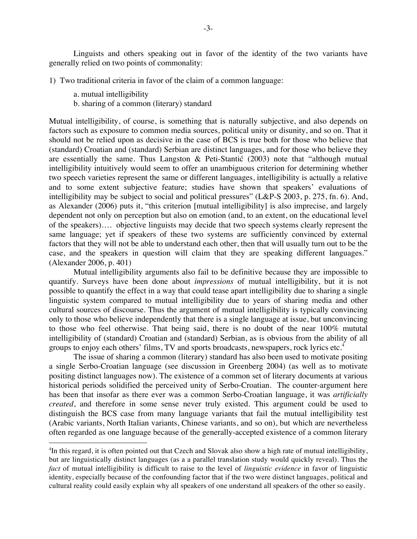Linguists and others speaking out in favor of the identity of the two variants have generally relied on two points of commonality:

1) Two traditional criteria in favor of the claim of a common language:

- a. mutual intelligibility
- b. sharing of a common (literary) standard

Mutual intelligibility, of course, is something that is naturally subjective, and also depends on factors such as exposure to common media sources, political unity or disunity, and so on. That it should not be relied upon as decisive in the case of BCS is true both for those who believe that (standard) Croatian and (standard) Serbian are distinct languages, and for those who believe they are essentially the same. Thus Langston & Peti-Stantić (2003) note that "although mutual intelligibility intuitively would seem to offer an unambiguous criterion for determining whether two speech varieties represent the same or different languages, intelligibility is actually a relative and to some extent subjective feature; studies have shown that speakers' evaluations of intelligibility may be subject to social and political pressures" (L&P-S 2003, p. 275, fn. 6). And, as Alexander (2006) puts it, "this criterion [mutual intelligibility] is also imprecise, and largely dependent not only on perception but also on emotion (and, to an extent, on the educational level of the speakers)…. objective linguists may decide that two speech systems clearly represent the same language; yet if speakers of these two systems are sufficiently convinced by external factors that they will not be able to understand each other, then that will usually turn out to be the case, and the speakers in question will claim that they are speaking different languages." (Alexander 2006, p. 401)

Mutual intelligibility arguments also fail to be definitive because they are impossible to quantify. Surveys have been done about *impressions* of mutual intelligibility, but it is not possible to quantify the effect in a way that could tease apart intelligibility due to sharing a single linguistic system compared to mutual intelligibility due to years of sharing media and other cultural sources of discourse. Thus the argument of mutual intelligibility is typically convincing only to those who believe independently that there is a single language at issue, but unconvincing to those who feel otherwise. That being said, there is no doubt of the near 100% mututal intelligibility of (standard) Croatian and (standard) Serbian, as is obvious from the ability of all groups to enjoy each others' films, TV and sports broadcasts, newspapers, rock lyrics etc. 4

The issue of sharing a common (literary) standard has also been used to motivate positing a single Serbo-Croatian language (see discussion in Greenberg 2004) (as well as to motivate positing distinct languages now). The existence of a common set of literary documents at various historical periods solidified the perceived unity of Serbo-Croatian. The counter-argument here has been that insofar as there ever was a common Serbo-Croatian language, it was *artificially created*, and therefore in some sense never truly existed. This argument could be used to distinguish the BCS case from many language variants that fail the mutual intelligibility test (Arabic variants, North Italian variants, Chinese variants, and so on), but which are nevertheless often regarded as one language because of the generally-accepted existence of a common literary

 <sup>4</sup> <sup>4</sup>In this regard, it is often pointed out that Czech and Slovak also show a high rate of mutual intelligibility, but are linguistically distinct languages (as a a parallel translation study would quickly reveal). Thus the *fact* of mutual intelligibility is difficult to raise to the level of *linguistic evidence* in favor of linguistic identity, especially because of the confounding factor that if the two were distinct languages, political and cultural reality could easily explain why all speakers of one understand all speakers of the other so easily.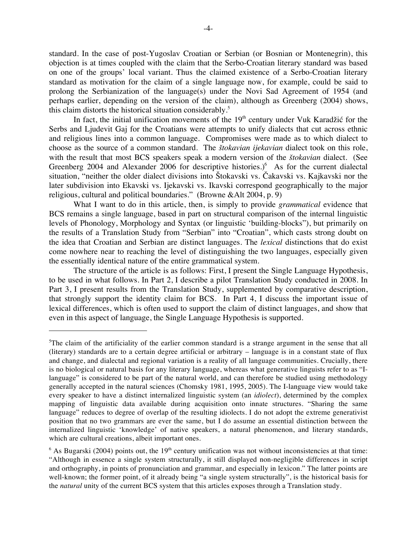standard. In the case of post-Yugoslav Croatian or Serbian (or Bosnian or Montenegrin), this objection is at times coupled with the claim that the Serbo-Croatian literary standard was based on one of the groups' local variant. Thus the claimed existence of a Serbo-Croatian literary standard as motivation for the claim of a single language now, for example, could be said to prolong the Serbianization of the language(s) under the Novi Sad Agreement of 1954 (and perhaps earlier, depending on the version of the claim), although as Greenberg (2004) shows, this claim distorts the historical situation considerably.<sup>5</sup>

In fact, the initial unification movements of the  $19<sup>th</sup>$  century under Vuk Karadžić for the Serbs and Ljudevit Gaj for the Croatians were attempts to unify dialects that cut across ethnic and religious lines into a common language. Compromises were made as to which dialect to choose as the source of a common standard. The *štokavian ijekavian* dialect took on this role, with the result that most BCS speakers speak a modern version of the *štokavian* dialect. (See Greenberg 2004 and Alexander 2006 for descriptive histories.)<sup>6</sup> As for the current dialectal situation, "neither the older dialect divisions into Štokavski vs. Čakavski vs. Kajkavski nor the later subdivision into Ekavski vs. Ijekavski vs. Ikavski correspond geographically to the major religious, cultural and political boundaries." (Browne &Alt 2004, p. 9)

What I want to do in this article, then, is simply to provide *grammatical* evidence that BCS remains a single language, based in part on structural comparison of the internal linguistic levels of Phonology, Morphology and Syntax (or linguistic 'building-blocks"), but primarily on the results of a Translation Study from "Serbian" into "Croatian", which casts strong doubt on the idea that Croatian and Serbian are distinct languages. The *lexical* distinctions that do exist come nowhere near to reaching the level of distinguishing the two languages, especially given the essentially identical nature of the entire grammatical system.

The structure of the article is as follows: First, I present the Single Language Hypothesis, to be used in what follows. In Part 2, I describe a pilot Translation Study conducted in 2008. In Part 3, I present results from the Translation Study, supplemented by comparative description, that strongly support the identity claim for BCS. In Part 4, I discuss the important issue of lexical differences, which is often used to support the claim of distinct languages, and show that even in this aspect of language, the Single Language Hypothesis is supported.

 $\overline{a}$ 

<sup>&</sup>lt;sup>5</sup>The claim of the artificiality of the earlier common standard is a strange argument in the sense that all (literary) standards are to a certain degree artificial or arbitrary – language is in a constant state of flux and change, and dialectal and regional variation is a reality of all language communities. Crucially, there is no biological or natural basis for any literary language, whereas what generative linguists refer to as "Ilanguage" is considered to be part of the natural world, and can therefore be studied using methodology generally accepted in the natural sciences (Chomsky 1981, 1995, 2005). The I-language view would take every speaker to have a distinct internalized linguistic system (an *idiolect*), determined by the complex mapping of linguistic data available during acquisition onto innate structures. "Sharing the same language" reduces to degree of overlap of the resulting idiolects. I do not adopt the extreme generativist position that no two grammars are ever the same, but I do assume an essential distinction between the internalized linguistic 'knowledge' of native speakers, a natural phenomenon, and literary standards, which are cultural creations, albeit important ones.

 $6$  As Bugarski (2004) points out, the 19<sup>th</sup> century unification was not without inconsistencies at that time: "Although in essence a single system structurally, it still displayed non-negligible differences in script and orthography, in points of pronunciation and grammar, and especially in lexicon." The latter points are well-known; the former point, of it already being "a single system structurally", is the historical basis for the *natural* unity of the current BCS system that this articles exposes through a Translation study.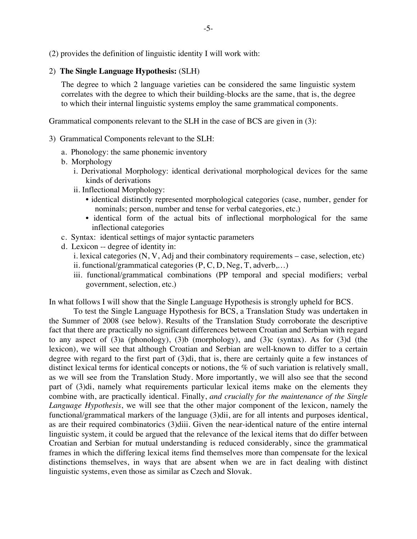(2) provides the definition of linguistic identity I will work with:

# 2) **The Single Language Hypothesis:** (SLH)

The degree to which 2 language varieties can be considered the same linguistic system correlates with the degree to which their building-blocks are the same, that is, the degree to which their internal linguistic systems employ the same grammatical components.

Grammatical components relevant to the SLH in the case of BCS are given in (3):

- 3) Grammatical Components relevant to the SLH:
	- a. Phonology: the same phonemic inventory
	- b. Morphology
		- i. Derivational Morphology: identical derivational morphological devices for the same kinds of derivations
		- ii. Inflectional Morphology:
			- identical distinctly represented morphological categories (case, number, gender for nominals; person, number and tense for verbal categories, etc.)
			- identical form of the actual bits of inflectional morphological for the same inflectional categories
	- c. Syntax: identical settings of major syntactic parameters
	- d. Lexicon -- degree of identity in:
		- i. lexical categories (N, V, Adj and their combinatory requirements case, selection, etc)
		- ii. functional/grammatical categories (P, C, D, Neg, T, adverb,…)
		- iii. functional/grammatical combinations (PP temporal and special modifiers; verbal government, selection, etc.)

In what follows I will show that the Single Language Hypothesis is strongly upheld for BCS.

To test the Single Language Hypothesis for BCS, a Translation Study was undertaken in the Summer of 2008 (see below). Results of the Translation Study corroborate the descriptive fact that there are practically no significant differences between Croatian and Serbian with regard to any aspect of (3)a (phonology), (3)b (morphology), and (3)c (syntax). As for (3)d (the lexicon), we will see that although Croatian and Serbian are well-known to differ to a certain degree with regard to the first part of (3)di, that is, there are certainly quite a few instances of distinct lexical terms for identical concepts or notions, the % of such variation is relatively small, as we will see from the Translation Study. More importantly, we will also see that the second part of (3)di, namely what requirements particular lexical items make on the elements they combine with, are practically identical. Finally, *and crucially for the maintenance of the Single Language Hypothesis*, we will see that the other major component of the lexicon, namely the functional/grammatical markers of the language (3)dii, are for all intents and purposes identical, as are their required combinatorics (3)diii. Given the near-identical nature of the entire internal linguistic system, it could be argued that the relevance of the lexical items that do differ between Croatian and Serbian for mutual understanding is reduced considerably, since the grammatical frames in which the differing lexical items find themselves more than compensate for the lexical distinctions themselves, in ways that are absent when we are in fact dealing with distinct linguistic systems, even those as similar as Czech and Slovak.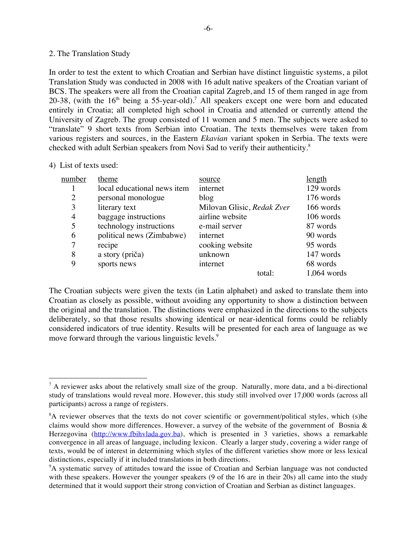### 2. The Translation Study

In order to test the extent to which Croatian and Serbian have distinct linguistic systems, a pilot Translation Study was conducted in 2008 with 16 adult native speakers of the Croatian variant of BCS. The speakers were all from the Croatian capital Zagreb, and 15 of them ranged in age from 20-38, (with the  $16<sup>th</sup>$  being a 55-year-old).<sup>7</sup> All speakers except one were born and educated entirely in Croatia; all completed high school in Croatia and attended or currently attend the University of Zagreb. The group consisted of 11 women and 5 men. The subjects were asked to "translate" 9 short texts from Serbian into Croatian. The texts themselves were taken from various registers and sources, in the Eastern *Ekavian* variant spoken in Serbia. The texts were checked with adult Serbian speakers from Novi Sad to verify their authenticity.<sup>8</sup>

### 4) List of texts used:

| number         | theme                       | source                     | <u>length</u> |
|----------------|-----------------------------|----------------------------|---------------|
|                | local educational news item | internet                   | 129 words     |
| 2              | personal monologue          | blog                       | 176 words     |
| 3              | literary text               | Milovan Glisic, Redak Zver | 166 words     |
| $\overline{4}$ | baggage instructions        | airline website            | 106 words     |
| 5              | technology instructions     | e-mail server              | 87 words      |
| 6              | political news (Zimbabwe)   | internet                   | 90 words      |
| 7              | recipe                      | cooking website            | 95 words      |
| 8              | a story (priča)             | unknown                    | 147 words     |
| 9              | sports news                 | internet                   | 68 words      |
|                |                             | total:                     | 1,064 words   |

The Croatian subjects were given the texts (in Latin alphabet) and asked to translate them into Croatian as closely as possible, without avoiding any opportunity to show a distinction between the original and the translation. The distinctions were emphasized in the directions to the subjects deliberately, so that those results showing identical or near-identical forms could be reliably considered indicators of true identity. Results will be presented for each area of language as we move forward through the various linguistic levels.<sup>9</sup>

<sup>-&</sup>lt;br>7  $^7$  A reviewer asks about the relatively small size of the group. Naturally, more data, and a bi-directional study of translations would reveal more. However, this study still involved over 17,000 words (across all participants) across a range of registers.

<sup>&</sup>lt;sup>8</sup>A reviewer observes that the texts do not cover scientific or government/political styles, which (s)he claims would show more differences. However, a survey of the website of the government of Bosnia  $\&$ Herzegovina (http://www.fbihvlada.gov.ba), which is presented in 3 varieties, shows a remarkable convergence in all areas of language, including lexicon. Clearly a larger study, covering a wider range of texts, would be of interest in determining which styles of the different varieties show more or less lexical distinctions, especially if it included translations in both directions.

<sup>&</sup>lt;sup>9</sup>A systematic survey of attitudes toward the issue of Croatian and Serbian language was not conducted with these speakers. However the younger speakers (9 of the 16 are in their 20s) all came into the study determined that it would support their strong conviction of Croatian and Serbian as distinct languages.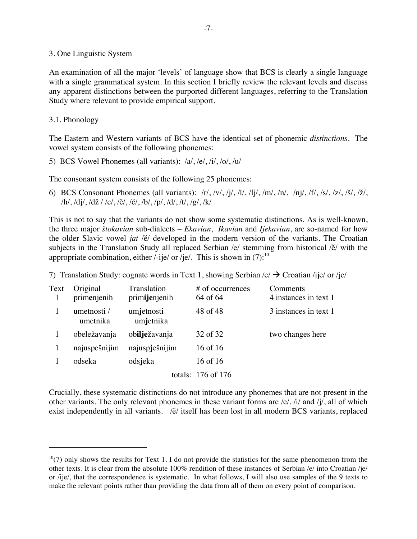3. One Linguistic System

An examination of all the major 'levels' of language show that BCS is clearly a single language with a single grammatical system. In this section I briefly review the relevant levels and discuss any apparent distinctions between the purported different languages, referring to the Translation Study where relevant to provide empirical support.

3.1. Phonology

 $\overline{a}$ 

The Eastern and Western variants of BCS have the identical set of phonemic *distinctions*. The vowel system consists of the following phonemes:

5) BCS Vowel Phonemes (all variants): /a/, /e/, /i/, /o/, /u/

The consonant system consists of the following 25 phonemes:

6) BCS Consonant Phonemes (all variants): /r/, /v/, /j/, /l/, /lj/, /m/, /n/, /nj/, /f/, /s/, /z/, /š/, /ž/, /h/, /dj/, /dž / /c/, /č/, /ć/, /b/, /p/, /d/, /t/, /g/, /k/

This is not to say that the variants do not show some systematic distinctions. As is well-known, the three major *štokavian* sub-dialects – *Ekavian*, *Ikavian* and *Ijekavian*, are so-named for how the older Slavic vowel *jat* /ĕ/ developed in the modern version of the variants. The Croatian subjects in the Translation Study all replaced Serbian /e/ stemming from historical /ĕ/ with the appropriate combination, either /-ije/ or /je/. This is shown in  $(7)$ :<sup>10</sup>

7) Translation Study: cognate words in Text 1, showing Serbian  $\langle e \rangle \rightarrow$  Croatian /ije/ or /je/

| Text | Original                | Translation             | # of occurrences       | Comments              |
|------|-------------------------|-------------------------|------------------------|-----------------------|
|      | primenjenih             | primijenjenih           | 64 of 64               | 4 instances in text 1 |
|      | umetnosti /<br>umetnika | umjetnosti<br>umjetnika | 48 of 48               | 3 instances in text 1 |
|      | obeležavanja            | obilježavanja           | 32 of 32               | two changes here      |
|      | najuspešnijim           | najuspješnijim          | 16 of 16               |                       |
|      | odseka                  | odsjeka                 | 16 of 16               |                       |
|      |                         |                         | totals: $176$ of $176$ |                       |

Crucially, these systematic distinctions do not introduce any phonemes that are not present in the other variants. The only relevant phonemes in these variant forms are /e/, /i/ and /j/, all of which exist independently in all variants. /ĕ/ itself has been lost in all modern BCS variants, replaced

 $10(7)$  only shows the results for Text 1. I do not provide the statistics for the same phenomenon from the other texts. It is clear from the absolute 100% rendition of these instances of Serbian /e/ into Croatian /je/ or /ije/, that the correspondence is systematic. In what follows, I will also use samples of the 9 texts to make the relevant points rather than providing the data from all of them on every point of comparison.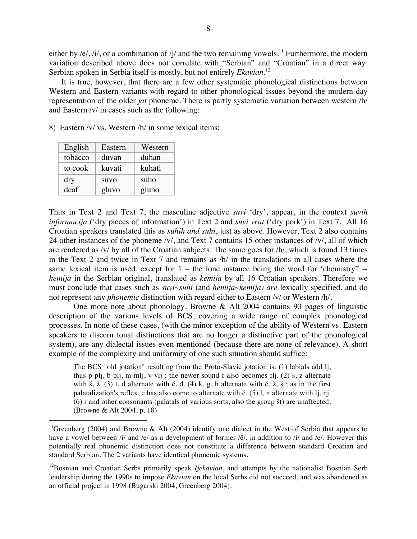either by /e/, /i/, or a combination of /j/ and the two remaining vowels.<sup>11</sup> Furthermore, the modern variation described above does not correlate with "Serbian" and "Croatian" in a direct way. Serbian spoken in Serbia itself is mostly, but not entirely *Ekavian.*<sup>12</sup>

It is true, however, that there are a few other systematic phonological distinctions between Western and Eastern variants with regard to other phonological issues beyond the modern-day representation of the older *jat* phoneme. There is partly systematic variation between western /h/ and Eastern /v/ in cases such as the following:

8) Eastern /v/ vs. Western /h/ in some lexical items:

| English | Eastern | Western |
|---------|---------|---------|
| tobacco | duvan   | duhan   |
| to cook | kuvati  | kuhati  |
| dry     | suvo    | suho    |
| deaf    | gluvo   | gluho   |

Thus in Text 2 and Text 7, the masculine adjective *suvi* 'dry', appear, in the context *suvih informacija* ('dry pieces of information') in Text 2 and *suvi vrat* ('dry pork') in Text 7. All 16 Croatian speakers translated this as *suhih and suhi*, just as above. However, Text 2 also contains 24 other instances of the phoneme /v/, and Text 7 contains 15 other instances of /v/, all of which are rendered as /v/ by all of the Croatian subjects. The same goes for /h/, which is found 13 times in the Text 2 and twice in Text 7 and remains as /h/ in the translations in all cases where the same lexical item is used, except for  $1 -$  the lone instance being the word for 'chemistry'  $$ *hemija* in the Serbian original, translated as *kemija* by all 16 Croatian speakers. Therefore we must conclude that cases such as *suvi~suhi* (and *hemija*~*kemija) are* lexically specified, and do not represent any *phonemic* distinction with regard either to Eastern /v/ or Western /h/.

One more note about phonology. Browne & Alt 2004 contains 90 pages of linguistic description of the various levels of BCS, covering a wide range of complex phonological processes. In none of these cases, (with the minor exception of the ability of Western vs. Eastern speakers to discern tonal distinctions that are no longer a distinctive part of the phonological system), are any dialectal issues even mentioned (because there are none of relevance). A short example of the complexity and uniformity of one such situation should suffice:

The BCS "old jotation" resulting from the Proto-Slavic jotation is: (1) labials add lj, thus p-plj, b-blj, m-mlj, v-vlj; the newer sound f also becomes flj.  $(2)$  s, z alternate with š, ž.  $(3)$  t, d alternate with ć, đ.  $(4)$  k, g, h alternate with č, ž, š; as in the first palatalization's reflex, c has also come to alternate with č. (5) l, n alternate with lj, nj. (6) r and other consonants (palatals of various sorts, also the group št) are unaffected. (Browne & Alt 2004, p. 18)

<sup>&</sup>lt;sup>11</sup>Greenberg (2004) and Browne & Alt (2004) identify one dialect in the West of Serbia that appears to have a vowel between /i/ and /e/ as a development of former /ĕ/, in addition to /i/ and /e/. However this potentially real phonemic distinction does not constitute a difference between standard Croatian and standard Serbian. The 2 variants have identical phonemic systems.

<sup>&</sup>lt;sup>12</sup>Bosnian and Croatian Serbs primarily speak *Ijekavian*, and attempts by the nationalist Bosnian Serb leadership during the 1990s to impose *Ekavian* on the local Serbs did not succeed, and was abandoned as an official project in 1998 (Bugarski 2004, Greenberg 2004).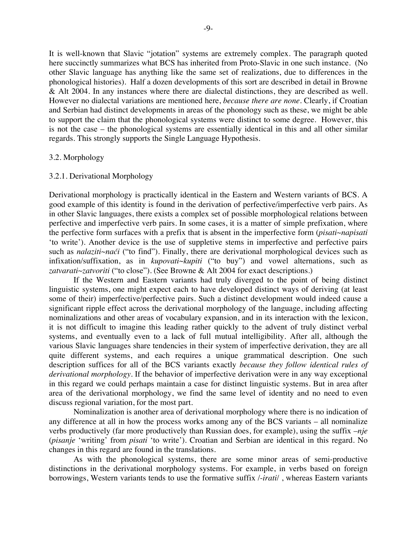It is well-known that Slavic "jotation" systems are extremely complex. The paragraph quoted here succinctly summarizes what BCS has inherited from Proto-Slavic in one such instance. (No other Slavic language has anything like the same set of realizations, due to differences in the phonological histories). Half a dozen developments of this sort are described in detail in Browne & Alt 2004. In any instances where there are dialectal distinctions, they are described as well. However no dialectal variations are mentioned here, *because there are none*. Clearly, if Croatian and Serbian had distinct developments in areas of the phonology such as these, we might be able to support the claim that the phonological systems were distinct to some degree. However, this is not the case – the phonological systems are essentially identical in this and all other similar regards. This strongly supports the Single Language Hypothesis.

### 3.2. Morphology

### 3.2.1. Derivational Morphology

Derivational morphology is practically identical in the Eastern and Western variants of BCS. A good example of this identity is found in the derivation of perfective/imperfective verb pairs. As in other Slavic languages, there exists a complex set of possible morphological relations between perfective and imperfective verb pairs. In some cases, it is a matter of simple prefixation, where the perfective form surfaces with a prefix that is absent in the imperfective form (*pisati~napisati* 'to write'). Another device is the use of suppletive stems in imperfective and perfective pairs such as *nalaziti~naći* ("to find"). Finally, there are derivational morphological devices such as infixation/suffixation, as in *kupovati~kupiti* ("to buy") and vowel alternations, such as *zatvarati~zatvoriti* ("to close"). (See Browne & Alt 2004 for exact descriptions.)

If the Western and Eastern variants had truly diverged to the point of being distinct linguistic systems, one might expect each to have developed distinct ways of deriving (at least some of their) imperfective/perfective pairs. Such a distinct development would indeed cause a significant ripple effect across the derivational morphology of the language, including affecting nominalizations and other areas of vocabulary expansion, and in its interaction with the lexicon, it is not difficult to imagine this leading rather quickly to the advent of truly distinct verbal systems, and eventually even to a lack of full mutual intelligibility. After all, although the various Slavic languages share tendencies in their system of imperfective derivation, they are all quite different systems, and each requires a unique grammatical description. One such description suffices for all of the BCS variants exactly *because they follow identical rules of derivational morphology*. If the behavior of imperfective derivation were in any way exceptional in this regard we could perhaps maintain a case for distinct linguistic systems. But in area after area of the derivational morphology, we find the same level of identity and no need to even discuss regional variation, for the most part.

Nominalization is another area of derivational morphology where there is no indication of any difference at all in how the process works among any of the BCS variants – all nominalize verbs productively (far more productively than Russian does, for example), using the suffix –*nje* (*pisanje* 'writing' from *pisati* 'to write'). Croatian and Serbian are identical in this regard. No changes in this regard are found in the translations.

As with the phonological systems, there are some minor areas of semi-productive distinctions in the derivational morphology systems. For example, in verbs based on foreign borrowings, Western variants tends to use the formative suffix /-*irati*/ , whereas Eastern variants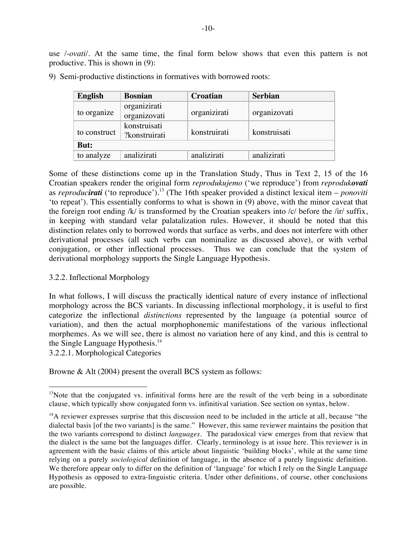use /-*ovati*/. At the same time, the final form below shows that even this pattern is not productive. This is shown in (9):

| <b>English</b> | <b>Bosnian</b>                | <b>Croatian</b> | <b>Serbian</b> |
|----------------|-------------------------------|-----------------|----------------|
| to organize    | organizirati<br>organizovati  | organizirati    | organizovati   |
| to construct   | konstruisati<br>?konstruirati | konstruirati    | konstruisati   |
| But:           |                               |                 |                |
| to analyze     | analizirati                   | analizirati     | analizirati    |

9) Semi-productive distinctions in formatives with borrowed roots:

Some of these distinctions come up in the Translation Study, Thus in Text 2, 15 of the 16 Croatian speakers render the original form *reprodukujemo* ('we reproduce') from *reprodukovati* as *reproducirati* ('to reproduce').13 (The 16th speaker provided a distinct lexical item – *ponoviti* 'to repeat'). This essentially conforms to what is shown in (9) above, with the minor caveat that the foreign root ending /k/ is transformed by the Croatian speakers into /c/ before the /ir/ suffix, in keeping with standard velar palatalization rules. However, it should be noted that this distinction relates only to borrowed words that surface as verbs, and does not interfere with other derivational processes (all such verbs can nominalize as discussed above), or with verbal conjugation, or other inflectional processes. Thus we can conclude that the system of derivational morphology supports the Single Language Hypothesis.

# 3.2.2. Inflectional Morphology

In what follows, I will discuss the practically identical nature of every instance of inflectional morphology across the BCS variants. In discussing inflectional morphology, it is useful to first categorize the inflectional *distinctions* represented by the language (a potential source of variation), and then the actual morphophonemic manifestations of the various inflectional morphemes. As we will see, there is almost no variation here of any kind, and this is central to the Single Language Hypothesis.<sup>14</sup>

3.2.2.1. Morphological Categories

Browne & Alt (2004) present the overall BCS system as follows:

 $13$ Note that the conjugated vs. infinitival forms here are the result of the verb being in a subordinate clause, which typically show conjugated form vs. infinitival variation. See section on syntax, below.

 $14A$  reviewer expresses surprise that this discussion need to be included in the article at all, because "the dialectal basis [of the two variants] is the same." However, this same reviewer maintains the position that the two variants correspond to distinct *languages*. The paradoxical view emerges from that review that the dialect is the same but the languages differ. Clearly, terminology is at issue here. This reviewer is in agreement with the basic claims of this article about linguistic 'building blocks', while at the same time relying on a purely *sociological* definition of language, in the absence of a purely linguistic definition. We therefore appear only to differ on the definition of 'language' for which I rely on the Single Language Hypothesis as opposed to extra-linguistic criteria. Under other definitions, of course, other conclusions are possible.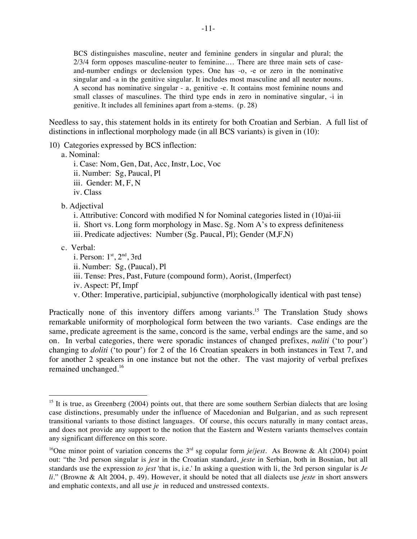BCS distinguishes masculine, neuter and feminine genders in singular and plural; the 2/3/4 form opposes masculine-neuter to feminine.… There are three main sets of caseand-number endings or declension types. One has -o, -e or zero in the nominative singular and -a in the genitive singular. It includes most masculine and all neuter nouns. A second has nominative singular - a, genitive -e. It contains most feminine nouns and small classes of masculines. The third type ends in zero in nominative singular, -i in genitive. It includes all feminines apart from a-stems. (p. 28)

Needless to say, this statement holds in its entirety for both Croatian and Serbian. A full list of distinctions in inflectional morphology made (in all BCS variants) is given in (10):

10) Categories expressed by BCS inflection:

a. Nominal:

i. Case: Nom, Gen, Dat, Acc, Instr, Loc, Voc ii. Number: Sg, Paucal, Pl iii. Gender: M, F, N iv. Class

b. Adjectival

- i. Attributive: Concord with modified N for Nominal categories listed in (10)ai-iii ii. Short vs. Long form morphology in Masc. Sg. Nom A's to express definiteness iii. Predicate adjectives: Number (Sg. Paucal, Pl); Gender (M,F,N)
- c. Verbal:
	- i. Person:  $1<sup>st</sup>$ ,  $2<sup>nd</sup>$ , 3rd ii. Number: Sg, (Paucal), Pl iii. Tense: Pres, Past, Future (compound form), Aorist, (Imperfect) iv. Aspect: Pf, Impf v. Other: Imperative, participial, subjunctive (morphologically identical with past tense)

Practically none of this inventory differs among variants.<sup>15</sup> The Translation Study shows remarkable uniformity of morphological form between the two variants. Case endings are the same, predicate agreement is the same, concord is the same, verbal endings are the same, and so on. In verbal categories, there were sporadic instances of changed prefixes, *naliti* ('to pour') changing to *doliti* ('to pour') for 2 of the 16 Croatian speakers in both instances in Text 7, and for another 2 speakers in one instance but not the other. The vast majority of verbal prefixes remained unchanged.16

<sup>&</sup>lt;sup>15</sup> It is true, as Greenberg (2004) points out, that there are some southern Serbian dialects that are losing case distinctions, presumably under the influence of Macedonian and Bulgarian, and as such represent transitional variants to those distinct languages. Of course, this occurs naturally in many contact areas, and does not provide any support to the notion that the Eastern and Western variants themselves contain any significant difference on this score.

<sup>&</sup>lt;sup>16</sup>One minor point of variation concerns the 3<sup>rd</sup> sg copular form *je/jest*. As Browne & Alt (2004) point out: "the 3rd person singular is *jest* in the Croatian standard, *jeste* in Serbian, both in Bosnian, but all standards use the expression *to jest* 'that is, i.e.' In asking a question with li, the 3rd person singular is *Je li*." (Browne & Alt 2004, p. 49). However, it should be noted that all dialects use *jeste* in short answers and emphatic contexts, and all use *je* in reduced and unstressed contexts.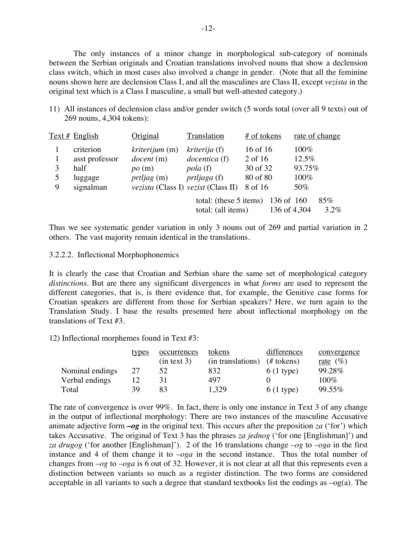The only instances of a minor change in morphological sub-category of nominals between the Serbian originals and Croatian translations involved nouns that show a declension class switch, which in most cases also involved a change in gender. (Note that all the feminine nouns shown here are declension Class I, and all the masculines are Class II, except *vezista* in the original text which is a Class I masculine, a small but well-attested category.)

11) All instances of declension class and/or gender switch (5 words total (over all 9 texts) out of 269 nouns, 4,304 tokens):

|   | $Text \#$ English                                           | Original                                                                                                                 | Translation                                                              | # of tokens                                            | rate of change                            |
|---|-------------------------------------------------------------|--------------------------------------------------------------------------------------------------------------------------|--------------------------------------------------------------------------|--------------------------------------------------------|-------------------------------------------|
| 9 | criterion<br>asst professor<br>half<br>luggage<br>signalman | <i>kriterijum</i> (m)<br>document(m)<br>po(m)<br><i>prtljag</i> (m)<br><i>vezista</i> (Class I) <i>vezist</i> (Class II) | kriterija (f)<br>docentica (f)<br><i>pola</i> (f)<br><i>prtljaga</i> (f) | 16 of 16<br>2 of 16<br>30 of 32<br>80 of 80<br>8 of 16 | 100%<br>$12.5\%$<br>93.75%<br>100%<br>50% |
|   |                                                             |                                                                                                                          | total: (these 5 items)<br>total: (all items)                             | 136 of 160<br>136 of 4,304                             | 85%<br>$3.2\%$                            |

Thus we see systematic gender variation in only 3 nouns out of 269 and partial variation in 2 others. The vast majority remain identical in the translations.

#### 3.2.2.2. Inflectional Morphophonemics

It is clearly the case that Croatian and Serbian share the same set of morphological category *distinctions*. But are there any significant divergences in what *forms* are used to represent the different categories, that is, is there evidence that, for example, the Genitive case forms for Croatian speakers are different from those for Serbian speakers? Here, we turn again to the Translation Study. I base the results presented here about inflectional morphology on the translations of Text #3.

12) Inflectional morphemes found in Text #3:

|                 | types | occurrences | tokens            | differences | convergence        |
|-----------------|-------|-------------|-------------------|-------------|--------------------|
|                 |       | (in text 3) | (in translations) | $#$ tokens) | <u>rate</u> $(\%)$ |
| Nominal endings | 27    | 52          | 832               | $6(1$ type) | 99.28%             |
| Verbal endings  |       |             | 497               |             | 100%               |
| Total           | 39    | 83          | 1,329             | $6(1$ type) | 99.55%             |

The rate of convergence is over 99%. In fact, there is only one instance in Text 3 of any change in the output of inflectional morphology: There are two instances of the masculine Accusative animate adjective form **–***og* in the original text. This occurs after the preposition *za* ('for') which takes Accusative. The original of Text 3 has the phrases *za jednog* ('for one [Englishman]') and *za drugog* ('for another [Englishman]'). 2 of the 16 translations change *–og* to *–oga* in the first instance and 4 of them change it to –*oga* in the second instance. Thus the total number of changes from –*og* to –*oga* is 6 out of 32. However, it is not clear at all that this represents even a distinction between variants so much as a register distinction. The two forms are considered acceptable in all variants to such a degree that standard textbooks list the endings as –og(a). The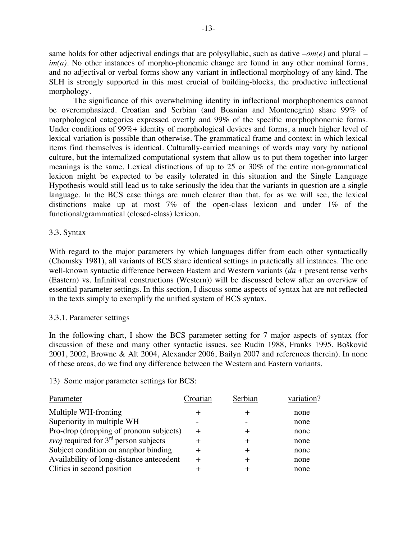same holds for other adjectival endings that are polysyllabic, such as dative –*om(e)* and plural – *im(a)*. No other instances of morpho-phonemic change are found in any other nominal forms, and no adjectival or verbal forms show any variant in inflectional morphology of any kind. The SLH is strongly supported in this most crucial of building-blocks, the productive inflectional morphology.

The significance of this overwhelming identity in inflectional morphophonemics cannot be overemphasized. Croatian and Serbian (and Bosnian and Montenegrin) share 99% of morphological categories expressed overtly and 99% of the specific morphophonemic forms. Under conditions of 99%+ identity of morphological devices and forms, a much higher level of lexical variation is possible than otherwise. The grammatical frame and context in which lexical items find themselves is identical. Culturally-carried meanings of words may vary by national culture, but the internalized computational system that allow us to put them together into larger meanings is the same. Lexical distinctions of up to 25 or 30% of the entire non-grammatical lexicon might be expected to be easily tolerated in this situation and the Single Language Hypothesis would still lead us to take seriously the idea that the variants in question are a single language. In the BCS case things are much clearer than that, for as we will see, the lexical distinctions make up at most 7% of the open-class lexicon and under 1% of the functional/grammatical (closed-class) lexicon.

# 3.3. Syntax

With regard to the major parameters by which languages differ from each other syntactically (Chomsky 1981), all variants of BCS share identical settings in practically all instances. The one well-known syntactic difference between Eastern and Western variants (*da* + present tense verbs (Eastern) vs. Infinitival constructions (Western)) will be discussed below after an overview of essential parameter settings. In this section, I discuss some aspects of syntax hat are not reflected in the texts simply to exemplify the unified system of BCS syntax.

# 3.3.1. Parameter settings

In the following chart, I show the BCS parameter setting for 7 major aspects of syntax (for discussion of these and many other syntactic issues, see Rudin 1988, Franks 1995, Bošković 2001, 2002, Browne & Alt 2004, Alexander 2006, Bailyn 2007 and references therein). In none of these areas, do we find any difference between the Western and Eastern variants.

# 13) Some major parameter settings for BCS:

| Parameter                                      | Croatian | Serbian | variation? |
|------------------------------------------------|----------|---------|------------|
| Multiple WH-fronting                           |          | $\pm$   | none       |
| Superiority in multiple WH                     |          |         | none       |
| Pro-drop (dropping of pronoun subjects)        |          | $\pm$   | none       |
| <i>svoj</i> required for $3rd$ person subjects |          | $\pm$   | none       |
| Subject condition on anaphor binding           | $\pm$    | $\pm$   | none       |
| Availability of long-distance antecedent       |          | $\pm$   | none       |
| Clitics in second position                     |          |         | none       |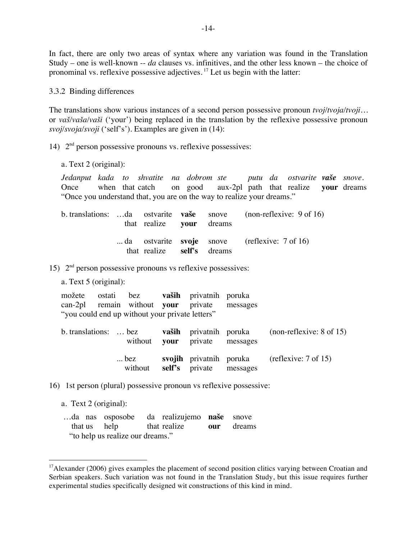In fact, there are only two areas of syntax where any variation was found in the Translation Study – one is well-known -- *da* clauses vs. infinitives, and the other less known – the choice of pronominal vs. reflexive possessive adjectives. 17 Let us begin with the latter:

3.3.2 Binding differences

The translations show various instances of a second person possessive pronoun *tvoj/tvoja/tvoji…* or *vaš/vaša/vaši* ('your') being replaced in the translation by the reflexive possessive pronoun *svoj/svoja/svoji* ('self's'). Examples are given in (14):

14) 2nd person possessive pronouns vs. reflexive possessives:

a. Text 2 (original):

*Jedanput kada to shvatite na dobrom ste putu da ostvarite vaše snove*. Once when that catch on good aux-2pl path that realize **your** dreams "Once you understand that, you are on the way to realize your dreams."

|  | that realize your dreams   |  | b. translations: da ostvarite <b>vaše</b> snove (non-reflexive: 9 of 16) |
|--|----------------------------|--|--------------------------------------------------------------------------|
|  | that realize self's dreams |  | da ostvarite svoje snove (reflexive: $7 \text{ of } 16$ )                |

15)  $2<sup>nd</sup>$  person possessive pronouns vs reflexive possessives:

a. Text 5 (original):

|                                                 |  |  |  | možete ostati bez vaših privatnih poruka     |  |
|-------------------------------------------------|--|--|--|----------------------------------------------|--|
|                                                 |  |  |  | can-2pl remain without your private messages |  |
| "you could end up without your private letters" |  |  |  |                                              |  |

|  | without <b>your</b> private messages | b. translations:  bez vaših privatnih poruka (non-reflexive: 8 of 15) |
|--|--------------------------------------|-----------------------------------------------------------------------|
|  | without self's private messages      | bez svojih privatnih poruka (reflexive: $7 \text{ of } 15$ )          |

16) 1st person (plural) possessive pronoun vs reflexive possessive:

a. Text 2 (original):

|                                  | da nas osposobe da realizujemo naše snove |  |
|----------------------------------|-------------------------------------------|--|
|                                  | that us help that realize our dreams      |  |
| "to help us realize our dreams." |                                           |  |

 $17$ Alexander (2006) gives examples the placement of second position clitics varying between Croatian and Serbian speakers. Such variation was not found in the Translation Study, but this issue requires further experimental studies specifically designed wit constructions of this kind in mind.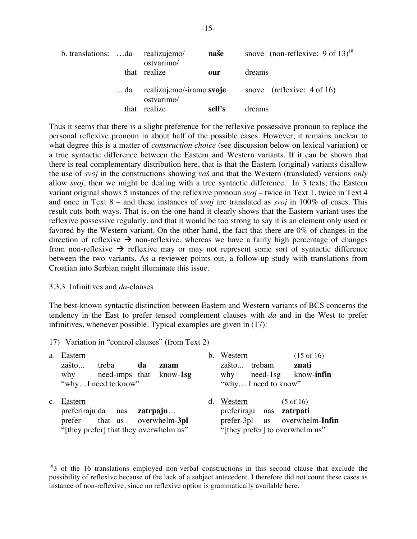| b. translations: da realizujemo/ |    | ostvarimo/                             | naše   | snove (non-reflexive: $9$ of $13$ ) <sup>18</sup> |
|----------------------------------|----|----------------------------------------|--------|---------------------------------------------------|
|                                  |    | that realize                           | our    | dreams                                            |
|                                  | da | realizujemo/-iramo svoje<br>ostvarimo/ |        | snove (reflexive: $4 \text{ of } 16$ )            |
|                                  |    | that realize                           | self's | dreams                                            |

Thus it seems that there is a slight preference for the reflexive possessive pronoun to replace the personal reflexive pronoun in about half of the possible cases. However, it remains unclear to what degree this is a matter of *construction choice* (see discussion below on lexical variation) or a true syntactic difference between the Eastern and Western variants. If it can be shown that there is real complementary distribution here, that is that the Eastern (original) variants disallow the use of *svoj* in the constructions showing *vaš* and that the Western (translated) versions *only* allow *svoj*, then we might be dealing with a true syntactic difference. In 3 texts, the Eastern variant original shows 5 instances of the reflexive pronoun *svoj* – twice in Text 1, twice in Text 4 and once in Text 8 – and these instances of *svoj* are translated as *svoj* in 100% of cases. This result cuts both ways. That is, on the one hand it clearly shows that the Eastern variant uses the reflexive possessive regularly, and that it would be too strong to say it is an element only used or favored by the Western variant. On the other hand, the fact that there are 0% of changes in the direction of reflexive  $\rightarrow$  non-reflexive, whereas we have a fairly high percentage of changes from non-reflexive  $\rightarrow$  reflexive may or may not represent some sort of syntactic difference between the two variants. As a reviewer points out, a follow-up study with translations from Croatian into Serbian might illuminate this issue.

#### 3.3.3 Infinitives and *da*-clauses

The best-known syntactic distinction between Eastern and Western variants of BCS concerns the tendency in the East to prefer tensed complement clauses with *da* and in the West to prefer infinitives, whenever possible. Typical examples are given in (17):

17) Variation in "control clauses" (from Text 2)

| a.          | Eastern<br>zašto<br>why | treba<br>need-imps that know-1sg<br>"whyI need to know"                                                      | da | znam | b. Western<br>zašto trebam<br>why<br>"why I need to know" | $need-1sg$ | $(15 \text{ of } 16)$<br>znati<br>know- <b>infin</b>                                                                 |
|-------------|-------------------------|--------------------------------------------------------------------------------------------------------------|----|------|-----------------------------------------------------------|------------|----------------------------------------------------------------------------------------------------------------------|
| $c_{\cdot}$ | Eastern                 | preferiraju da nas <b>zatrpaju</b><br>prefer that us overwhelm-3pl<br>"[they prefer] that they overwhelm us" |    |      | d. Western                                                |            | $(5 \text{ of } 16)$<br>preferiraju nas zatrpati<br>prefer-3pl us overwhelm-Infin<br>"[they prefer] to overwhelm us" |

<sup>&</sup>lt;sup>18</sup>3 of the 16 translations employed non-verbal constructions in this second clause that exclude the possibility of reflexive because of the lack of a subject antecedent. I therefore did not count these cases as instance of non-reflexive, since no reflexive option is grammatically available here.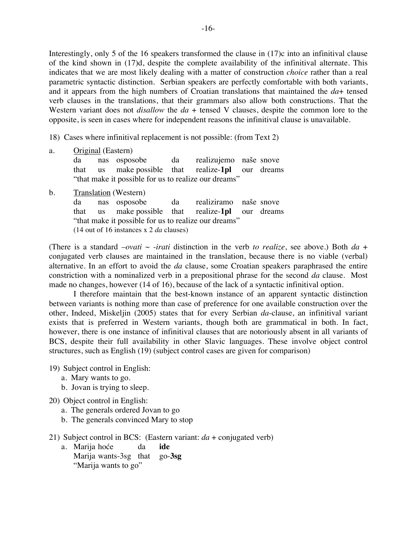Interestingly, only 5 of the 16 speakers transformed the clause in (17)c into an infinitival clause of the kind shown in (17)d, despite the complete availability of the infinitival alternate. This indicates that we are most likely dealing with a matter of construction *choice* rather than a real parametric syntactic distinction. Serbian speakers are perfectly comfortable with both variants, and it appears from the high numbers of Croatian translations that maintained the *da*+ tensed verb clauses in the translations, that their grammars also allow both constructions. That the Western variant does not *disallow* the *da* + tensed V clauses, despite the common lore to the opposite, is seen in cases where for independent reasons the infinitival clause is unavailable.

18) Cases where infinitival replacement is not possible: (from Text 2)

| a. |    | Original (Eastern)                                   |  |  |
|----|----|------------------------------------------------------|--|--|
|    | da | nas osposobe da realizujemo naše snove               |  |  |
|    |    | that us make possible that realize-1pl our dreams    |  |  |
|    |    | "that make it possible for us to realize our dreams" |  |  |
| b. |    | <b>Translation</b> (Western)                         |  |  |
|    |    | da nas osposobe da realiziramo naše snove            |  |  |
|    |    | that us make possible that realize-1pl our dreams    |  |  |
|    |    | "that make it possible for us to realize our dreams" |  |  |

(14 out of 16 instances x 2 *da* clauses)

(There is a standard *-ovati*  $\sim$  *-irati* distinction in the verb *to realize*, see above.) Both *da* + conjugated verb clauses are maintained in the translation, because there is no viable (verbal) alternative. In an effort to avoid the *da* clause, some Croatian speakers paraphrased the entire constriction with a nominalized verb in a prepositional phrase for the second *da* clause. Most made no changes, however (14 of 16), because of the lack of a syntactic infinitival option.

I therefore maintain that the best-known instance of an apparent syntactic distinction between variants is nothing more than case of preference for one available construction over the other, Indeed, Miskeljin (2005) states that for every Serbian *da*-clause, an infinitival variant exists that is preferred in Western variants, though both are grammatical in both. In fact, however, there is one instance of infinitival clauses that are notoriously absent in all variants of BCS, despite their full availability in other Slavic languages. These involve object control structures, such as English (19) (subject control cases are given for comparison)

19) Subject control in English:

- a. Mary wants to go.
- b. Jovan is trying to sleep.
- 20) Object control in English:
	- a. The generals ordered Jovan to go
	- b. The generals convinced Mary to stop
- 21) Subject control in BCS: (Eastern variant: *da* + conjugated verb)
	- a. Marija hoće da **ide** Marija wants-3sg that go-**3sg** "Marija wants to go"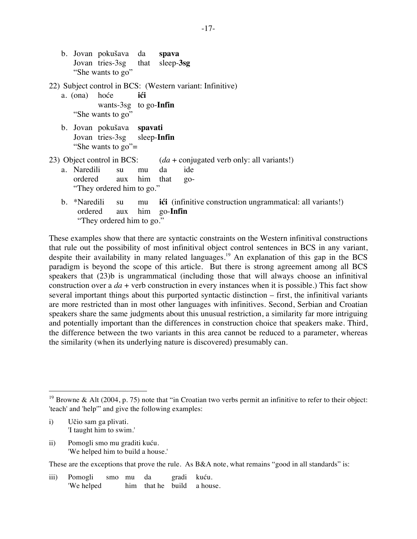b. Jovan pokušava da **spava** Jovan tries-3sg that sleep-**3sg** "She wants to go"

22) Subject control in BCS: (Western variant: Infinitive)

- a. (ona) hoće **ići** wants-3sg to go-**Infin** "She wants to go"
- b. Jovan pokušava **spavati** Jovan tries-3sg sleep-**Infin** "She wants to go"=
- 23) Object control in BCS: (*da* + conjugated verb only: all variants!) a. Naredili su mu da ide
	- ordered aux him that go- "They ordered him to go."
	- b. \*Naredili su mu **ići** (infinitive construction ungrammatical: all variants!) ordered aux him go-**Infin** "They ordered him to go."

These examples show that there are syntactic constraints on the Western infinitival constructions that rule out the possibility of most infinitival object control sentences in BCS in any variant, despite their availability in many related languages.<sup>19</sup> An explanation of this gap in the BCS paradigm is beyond the scope of this article. But there is strong agreement among all BCS speakers that (23)b is ungrammatical (including those that will always choose an infinitival construction over a  $da$  + verb construction in every instances when it is possible.) This fact show several important things about this purported syntactic distinction – first, the infinitival variants are more restricted than in most other languages with infinitives. Second, Serbian and Croatian speakers share the same judgments about this unusual restriction, a similarity far more intriguing and potentially important than the differences in construction choice that speakers make. Third, the difference between the two variants in this area cannot be reduced to a parameter, whereas the similarity (when its underlying nature is discovered) presumably can.

- i) Učio sam ga plivati. 'I taught him to swim.'
- ii) Pomogli smo mu graditi kuću. 'We helped him to build a house.'

These are the exceptions that prove the rule. As B&A note, what remains "good in all standards" is:

iii) Pomogli smo mu da gradi kuću. 'We helped him that he build a house.

<sup>&</sup>lt;sup>19</sup> Browne & Alt (2004, p. 75) note that "in Croatian two verbs permit an infinitive to refer to their object: 'teach' and 'help'" and give the following examples: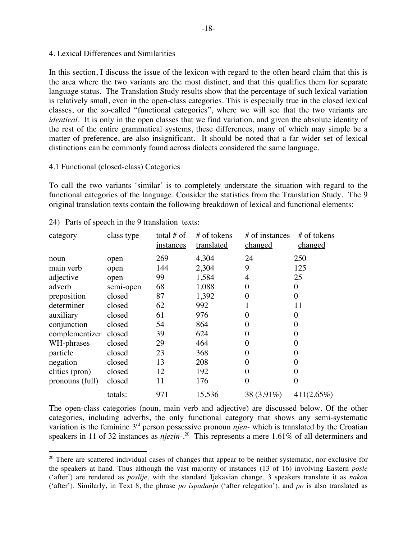#### 4. Lexical Differences and Similarities

In this section, I discuss the issue of the lexicon with regard to the often heard claim that this is the area where the two variants are the most distinct, and that this qualifies them for separate language status. The Translation Study results show that the percentage of such lexical variation is relatively small, even in the open-class categories. This is especially true in the closed lexical classes, or the so-called "functional categories", where we will see that the two variants are *identical*. It is only in the open classes that we find variation, and given the absolute identity of the rest of the entire grammatical systems, these differences, many of which may simple be a matter of preference, are also insignificant. It should be noted that a far wider set of lexical distinctions can be commonly found across dialects considered the same language.

### 4.1 Functional (closed-class) Categories

To call the two variants 'similar' is to completely understate the situation with regard to the functional categories of the language. Consider the statistics from the Translation Study. The 9 original translation texts contain the following breakdown of lexical and functional elements:

| category        | class type | total $#$ of<br><i>instances</i> | # of tokens<br>translated | # of instances<br><u>changed</u> | # of tokens<br><u>changed</u> |
|-----------------|------------|----------------------------------|---------------------------|----------------------------------|-------------------------------|
| noun            | open       | 269                              | 4,304                     | 24                               | 250                           |
| main verb       | open       | 144                              | 2,304                     | 9                                | 125                           |
| adjective       | open       | 99                               | 1,584                     | 4                                | 25                            |
| adverb          | semi-open  | 68                               | 1,088                     | 0                                | 0                             |
| preposition     | closed     | 87                               | 1,392                     | 0                                | $\theta$                      |
| determiner      | closed     | 62                               | 992                       |                                  | 11                            |
| auxiliary       | closed     | 61                               | 976                       | 0                                | $\boldsymbol{0}$              |
| conjunction     | closed     | 54                               | 864                       | 0                                | $\overline{0}$                |
| complementizer  | closed     | 39                               | 624                       | 0                                | $\overline{0}$                |
| WH-phrases      | closed     | 29                               | 464                       | 0                                | 0                             |
| particle        | closed     | 23                               | 368                       | 0                                | $\overline{0}$                |
| negation        | closed     | 13                               | 208                       | 0                                | $\overline{0}$                |
| clitics (pron)  | closed     | 12                               | 192                       | 0                                | 0                             |
| pronouns (full) | closed     | 11                               | 176                       | 0                                | 0                             |
|                 | totals:    | 971                              | 15,536                    | 38 (3.91%)                       | $411(2.65\%)$                 |

24) Parts of speech in the 9 translation texts:

The open-class categories (noun, main verb and adjective) are discussed below. Of the other categories, including adverbs, the only functional category that shows any semi-systematic variation is the feminine 3rd person possessive pronoun *njen-* which is translated by the Croatian speakers in 11 of 32 instances as *njezin-*. <sup>20</sup> This represents a mere 1.61% of all determiners and

 $20$  There are scattered individual cases of changes that appear to be neither systematic, nor exclusive for the speakers at hand. Thus although the vast majority of instances (13 of 16) involving Eastern *posle* ('after') are rendered as *poslije*, with the standard Ijekavian change, 3 speakers translate it as *nakon* ('after'). Similarly, in Text 8, the phrase *po ispadanju* ('after relegation'), and *po* is also translated as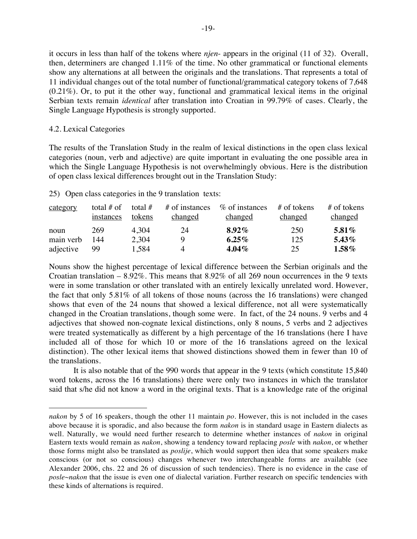it occurs in less than half of the tokens where *njen*- appears in the original (11 of 32). Overall, then, determiners are changed 1.11% of the time. No other grammatical or functional elements show any alternations at all between the originals and the translations. That represents a total of 11 individual changes out of the total number of functional/grammatical category tokens of 7,648 (0.21%). Or, to put it the other way, functional and grammatical lexical items in the original Serbian texts remain *identical* after translation into Croatian in 99.79% of cases. Clearly, the Single Language Hypothesis is strongly supported.

### 4.2. Lexical Categories

 $\overline{a}$ 

The results of the Translation Study in the realm of lexical distinctions in the open class lexical categories (noun, verb and adjective) are quite important in evaluating the one possible area in which the Single Language Hypothesis is not overwhelmingly obvious. Here is the distribution of open class lexical differences brought out in the Translation Study:

25) Open class categories in the 9 translation texts:

| category  | total $#$ of<br>instances | total $#$<br>tokens | # of instances<br>changed | % of instances<br><u>changed</u> | $#$ of tokens<br><u>changed</u> | $#$ of tokens<br>changed |
|-----------|---------------------------|---------------------|---------------------------|----------------------------------|---------------------------------|--------------------------|
| noun      | 269                       | 4.304               | 24                        | $8.92\%$                         | 250                             | 5.81%                    |
| main verb | 144                       | 2,304               |                           | $6.25\%$                         | 125                             | 5.43%                    |
| adjective | 99                        | 1,584               | 4                         | $4.04\%$                         | 25                              | $1.58\%$                 |

Nouns show the highest percentage of lexical difference between the Serbian originals and the Croatian translation –  $8.92\%$ . This means that  $8.92\%$  of all 269 noun occurrences in the 9 texts were in some translation or other translated with an entirely lexically unrelated word. However, the fact that only 5.81% of all tokens of those nouns (across the 16 translations) were changed shows that even of the 24 nouns that showed a lexical difference, not all were systematically changed in the Croatian translations, though some were. In fact, of the 24 nouns. 9 verbs and 4 adjectives that showed non-cognate lexical distinctions, only 8 nouns, 5 verbs and 2 adjectives were treated systematically as different by a high percentage of the 16 translations (here I have included all of those for which 10 or more of the 16 translations agreed on the lexical distinction). The other lexical items that showed distinctions showed them in fewer than 10 of the translations.

It is also notable that of the 990 words that appear in the 9 texts (which constitute 15,840 word tokens, across the 16 translations) there were only two instances in which the translator said that s/he did not know a word in the original texts. That is a knowledge rate of the original

*nakon* by 5 of 16 speakers, though the other 11 maintain *po*. However, this is not included in the cases above because it is sporadic, and also because the form *nakon* is in standard usage in Eastern dialects as well. Naturally, we would need further research to determine whether instances of *nakon* in original Eastern texts would remain as *nakon*, showing a tendency toward replacing *posle* with *nakon*, or whether those forms might also be translated as *poslije*, which would support then idea that some speakers make conscious (or not so conscious) changes whenever two interchangeable forms are available (see Alexander 2006, chs. 22 and 26 of discussion of such tendencies). There is no evidence in the case of *posle~nakon* that the issue is even one of dialectal variation. Further research on specific tendencies with these kinds of alternations is required.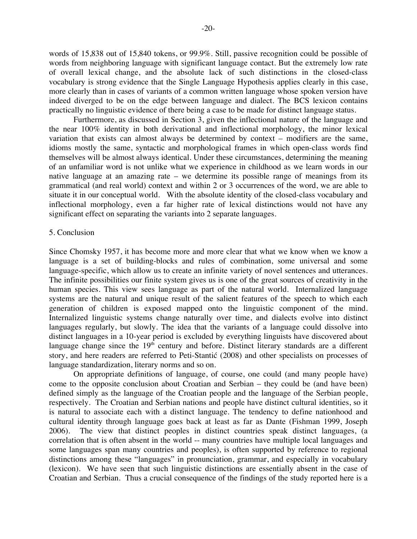words of 15,838 out of 15,840 tokens, or 99.9%. Still, passive recognition could be possible of words from neighboring language with significant language contact. But the extremely low rate of overall lexical change, and the absolute lack of such distinctions in the closed-class vocabulary is strong evidence that the Single Language Hypothesis applies clearly in this case, more clearly than in cases of variants of a common written language whose spoken version have indeed diverged to be on the edge between language and dialect. The BCS lexicon contains practically no linguistic evidence of there being a case to be made for distinct language status.

Furthermore, as discussed in Section 3, given the inflectional nature of the language and the near 100% identity in both derivational and inflectional morphology, the minor lexical variation that exists can almost always be determined by context – modifiers are the same, idioms mostly the same, syntactic and morphological frames in which open-class words find themselves will be almost always identical. Under these circumstances, determining the meaning of an unfamiliar word is not unlike what we experience in childhood as we learn words in our native language at an amazing rate – we determine its possible range of meanings from its grammatical (and real world) context and within 2 or 3 occurrences of the word, we are able to situate it in our conceptual world. With the absolute identity of the closed-class vocabulary and inflectional morphology, even a far higher rate of lexical distinctions would not have any significant effect on separating the variants into 2 separate languages.

#### 5. Conclusion

Since Chomsky 1957, it has become more and more clear that what we know when we know a language is a set of building-blocks and rules of combination, some universal and some language-specific, which allow us to create an infinite variety of novel sentences and utterances. The infinite possibilities our finite system gives us is one of the great sources of creativity in the human species. This view sees language as part of the natural world. Internalized language systems are the natural and unique result of the salient features of the speech to which each generation of children is exposed mapped onto the linguistic component of the mind. Internalized linguistic systems change naturally over time, and dialects evolve into distinct languages regularly, but slowly. The idea that the variants of a language could dissolve into distinct languages in a 10-year period is excluded by everything linguists have discovered about language change since the  $19<sup>th</sup>$  century and before. Distinct literary standards are a different story, and here readers are referred to Peti-Stantić (2008) and other specialists on processes of language standardization, literary norms and so on.

On appropriate definitions of language, of course, one could (and many people have) come to the opposite conclusion about Croatian and Serbian – they could be (and have been) defined simply as the language of the Croatian people and the language of the Serbian people, respectively. The Croatian and Serbian nations and people have distinct cultural identities, so it is natural to associate each with a distinct language. The tendency to define nationhood and cultural identity through language goes back at least as far as Dante (Fishman 1999, Joseph 2006). The view that distinct peoples in distinct countries speak distinct languages, (a correlation that is often absent in the world -- many countries have multiple local languages and some languages span many countries and peoples), is often supported by reference to regional distinctions among these "languages" in pronunciation, grammar, and especially in vocabulary (lexicon). We have seen that such linguistic distinctions are essentially absent in the case of Croatian and Serbian. Thus a crucial consequence of the findings of the study reported here is a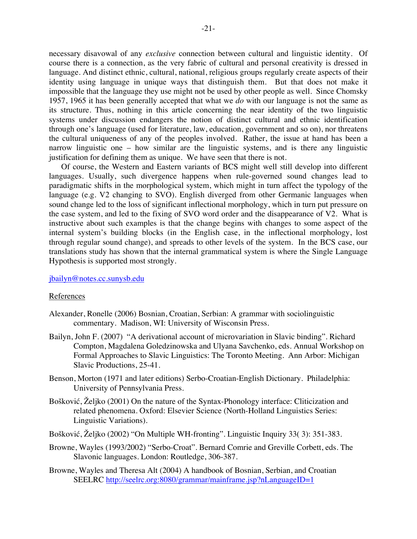necessary disavowal of any *exclusive* connection between cultural and linguistic identity. Of course there is a connection, as the very fabric of cultural and personal creativity is dressed in language. And distinct ethnic, cultural, national, religious groups regularly create aspects of their identity using language in unique ways that distinguish them. But that does not make it impossible that the language they use might not be used by other people as well. Since Chomsky 1957, 1965 it has been generally accepted that what we *do* with our language is not the same as its structure. Thus, nothing in this article concerning the near identity of the two linguistic systems under discussion endangers the notion of distinct cultural and ethnic identification through one's language (used for literature, law, education, government and so on), nor threatens the cultural uniqueness of any of the peoples involved. Rather, the issue at hand has been a narrow linguistic one – how similar are the linguistic systems, and is there any linguistic justification for defining them as unique. We have seen that there is not.

Of course, the Western and Eastern variants of BCS might well still develop into different languages. Usually, such divergence happens when rule-governed sound changes lead to paradigmatic shifts in the morphological system, which might in turn affect the typology of the language (e.g. V2 changing to SVO). English diverged from other Germanic languages when sound change led to the loss of significant inflectional morphology, which in turn put pressure on the case system, and led to the fixing of SVO word order and the disappearance of V2. What is instructive about such examples is that the change begins with changes to some aspect of the internal system's building blocks (in the English case, in the inflectional morphology, lost through regular sound change), and spreads to other levels of the system. In the BCS case, our translations study has shown that the internal grammatical system is where the Single Language Hypothesis is supported most strongly.

#### jbailyn@notes.cc.sunysb.edu

#### References

- Alexander, Ronelle (2006) Bosnian, Croatian, Serbian: A grammar with sociolinguistic commentary. Madison, WI: University of Wisconsin Press.
- Bailyn, John F. (2007) "A derivational account of microvariation in Slavic binding". Richard Compton, Magdalena Goledzinowska and Ulyana Savchenko, eds. Annual Workshop on Formal Approaches to Slavic Linguistics: The Toronto Meeting. Ann Arbor: Michigan Slavic Productions, 25-41.
- Benson, Morton (1971 and later editions) Serbo-Croatian-English Dictionary. Philadelphia: University of Pennsylvania Press.
- Bošković, Željko (2001) On the nature of the Syntax-Phonology interface: Cliticization and related phenomena. Oxford: Elsevier Science (North-Holland Linguistics Series: Linguistic Variations).
- Bošković, Željko (2002) "On Multiple WH-fronting". Linguistic Inquiry 33( 3): 351-383.
- Browne, Wayles (1993/2002) "Serbo-Croat". Bernard Comrie and Greville Corbett, eds. The Slavonic languages. London: Routledge, 306-387.
- Browne, Wayles and Theresa Alt (2004) A handbook of Bosnian, Serbian, and Croatian SEELRC http://seelrc.org:8080/grammar/mainframe.jsp?nLanguageID=1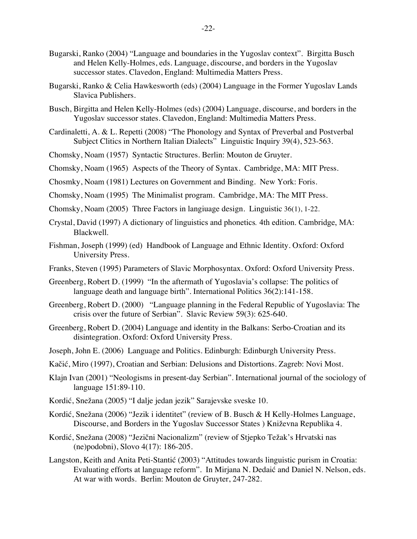- Bugarski, Ranko (2004) "Language and boundaries in the Yugoslav context". Birgitta Busch and Helen Kelly-Holmes, eds. Language, discourse, and borders in the Yugoslav successor states. Clavedon, England: Multimedia Matters Press.
- Bugarski, Ranko & Celia Hawkesworth (eds) (2004) Language in the Former Yugoslav Lands Slavica Publishers.
- Busch, Birgitta and Helen Kelly-Holmes (eds) (2004) Language, discourse, and borders in the Yugoslav successor states. Clavedon, England: Multimedia Matters Press.
- Cardinaletti, A. & L. Repetti (2008) "The Phonology and Syntax of Preverbal and Postverbal Subject Clitics in Northern Italian Dialects" Linguistic Inquiry 39(4), 523-563.
- Chomsky, Noam (1957) Syntactic Structures. Berlin: Mouton de Gruyter.
- Chomsky, Noam (1965) Aspects of the Theory of Syntax. Cambridge, MA: MIT Press.
- Chosmky, Noam (1981) Lectures on Government and Binding. New York: Foris.
- Chomsky, Noam (1995) The Minimalist program. Cambridge, MA: The MIT Press.
- Chomsky, Noam (2005) Three Factors in langiuage design. Linguistic 36(1), 1-22.
- Crystal, David (1997) A dictionary of linguistics and phonetics*.* 4th edition. Cambridge, MA: Blackwell.
- Fishman, Joseph (1999) (ed) Handbook of Language and Ethnic Identity. Oxford: Oxford University Press.
- Franks, Steven (1995) Parameters of Slavic Morphosyntax. Oxford: Oxford University Press.
- Greenberg, Robert D. (1999) "In the aftermath of Yugoslavia's collapse: The politics of language death and language birth". International Politics 36(2):141-158.
- Greenberg, Robert D. (2000) "Language planning in the Federal Republic of Yugoslavia: The crisis over the future of Serbian". Slavic Review 59(3): 625-640.
- Greenberg, Robert D. (2004) Language and identity in the Balkans: Serbo-Croatian and its disintegration. Oxford: Oxford University Press.
- Joseph, John E. (2006) Language and Politics. Edinburgh: Edinburgh University Press.
- Kačić, Miro (1997), Croatian and Serbian: Delusions and Distortions. Zagreb: Novi Most.
- Klajn Ivan (2001) "Neologisms in present-day Serbian". International journal of the sociology of language 151:89-110.
- Kordić, Snežana (2005) "I dalje jedan jezik" Sarajevske sveske 10.
- Kordić, Snežana (2006) "Jezik i identitet" (review of B. Busch & H Kelly-Holmes Language, Discourse, and Borders in the Yugoslav Successor States ) Kniževna Republika 4.
- Kordić, Snežana (2008) "Jezični Nacionalizm" (review of Stjepko Težak's Hrvatski nas (ne)podobni), Slovo 4(17): 186-205.
- Langston, Keith and Anita Peti-Stantić (2003) "Attitudes towards linguistic purism in Croatia: Evaluating efforts at language reform". In Mirjana N. Dedaić and Daniel N. Nelson, eds. At war with words. Berlin: Mouton de Gruyter, 247-282.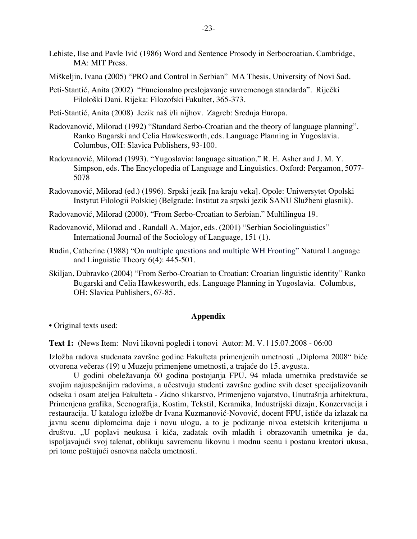- Lehiste, Ilse and Pavle Ivić (1986) Word and Sentence Prosody in Serbocroatian. Cambridge, MA: MIT Press.
- Miškeljin, Ivana (2005) "PRO and Control in Serbian" MA Thesis, University of Novi Sad.
- Peti-Stantić, Anita (2002) "Funcionalno preslojavanje suvremenoga standarda". Riječki Filološki Dani. Rijeka: Filozofski Fakultet, 365-373.
- Peti-Stantić, Anita (2008) Jezik naš i/li nijhov. Zagreb: Srednja Europa.
- Radovanović, Milorad (1992) "Standard Serbo-Croatian and the theory of language planning". Ranko Bugarski and Celia Hawkesworth, eds. Language Planning in Yugoslavia. Columbus, OH: Slavica Publishers, 93-100.
- Radovanović, Milorad (1993). "Yugoslavia: language situation." R. E. Asher and J. M. Y. Simpson, eds. The Encyclopedia of Language and Linguistics. Oxford: Pergamon, 5077- 5078
- Radovanović, Milorad (ed.) (1996). Srpski jezik [na kraju veka]. Opole: Uniwersytet Opolski Instytut Filologii Polskiej (Belgrade: Institut za srpski jezik SANU Službeni glasnik).
- Radovanović, Milorad (2000). "From Serbo-Croatian to Serbian." Multilingua 19.
- Radovanović, Milorad and , Randall A. Major, eds. (2001) "Serbian Sociolinguistics" International Journal of the Sociology of Language, 151 (1).
- Rudin, Catherine (1988) "On multiple questions and multiple WH Fronting" Natural Language and Linguistic Theory 6(4): 445-501.
- Skiljan, Dubravko (2004) "From Serbo-Croatian to Croatian: Croatian linguistic identity" Ranko Bugarski and Celia Hawkesworth, eds. Language Planning in Yugoslavia. Columbus, OH: Slavica Publishers, 67-85.

### **Appendix**

• Original texts used:

**Text 1:** (News Item: Novi likovni pogledi i tonovi Autor: M. V. | 15.07.2008 - 06:00

Izložba radova studenata završne godine Fakulteta primenjenih umetnosti "Diploma 2008" biće otvorena večeras (19) u Muzeju primenjene umetnosti, a trajaće do 15. avgusta.

U godini obeležavanja 60 godina postojanja FPU, 94 mlada umetnika predstaviće se svojim najuspešnijim radovima, a učestvuju studenti završne godine svih deset specijalizovanih odseka i osam ateljea Fakulteta - Zidno slikarstvo, Primenjeno vajarstvo, Unutrašnja arhitektura, Primenjena grafika, Scenografija, Kostim, Tekstil, Keramika, Industrijski dizajn, Konzervacija i restauracija. U katalogu izložbe dr Ivana Kuzmanović-Novović, docent FPU, ističe da izlazak na javnu scenu diplomcima daje i novu ulogu, a to je podizanje nivoa estetskih kriterijuma u društvu. "U poplavi neukusa i kiča, zadatak ovih mladih i obrazovanih umetnika je da, ispoljavajući svoj talenat, oblikuju savremenu likovnu i modnu scenu i postanu kreatori ukusa, pri tome poštujući osnovna načela umetnosti.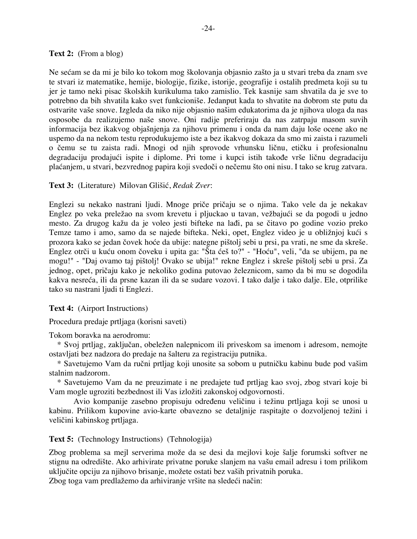### **Text 2:** (From a blog)

Ne sećam se da mi je bilo ko tokom mog školovanja objasnio zašto ja u stvari treba da znam sve te stvari iz matematike, hemije, biologije, fizike, istorije, geografije i ostalih predmeta koji su tu jer je tamo neki pisac školskih kurikuluma tako zamislio. Tek kasnije sam shvatila da je sve to potrebno da bih shvatila kako svet funkcioniše. Jedanput kada to shvatite na dobrom ste putu da ostvarite vaše snove. Izgleda da niko nije objasnio našim edukatorima da je njihova uloga da nas osposobe da realizujemo naše snove. Oni radije preferiraju da nas zatrpaju masom suvih informacija bez ikakvog objašnjenja za njihovu primenu i onda da nam daju loše ocene ako ne uspemo da na nekom testu reprodukujemo iste a bez ikakvog dokaza da smo mi zaista i razumeli o čemu se tu zaista radi. Mnogi od njih sprovode vrhunsku ličnu, etičku i profesionalnu degradaciju prodajući ispite i diplome. Pri tome i kupci istih takođe vrše ličnu degradaciju plaćanjem, u stvari, bezvrednog papira koji svedoči o nečemu što oni nisu. I tako se krug zatvara.

# **Text 3:** (Literature) Milovan Glišić, *Redak Zver*:

Englezi su nekako nastrani ljudi. Mnoge priče pričaju se o njima. Tako vele da je nekakav Englez po veka preležao na svom krevetu i pljuckao u tavan, vežbajući se da pogodi u jedno mesto. Za drugog kažu da je voleo jesti bifteke na lađi, pa se čitavo po godine vozio preko Temze tamo i amo, samo da se najede bifteka. Neki, opet, Englez video je u obližnjoj kući s prozora kako se jedan čovek hoće da ubije: nategne pištolj sebi u prsi, pa vrati, ne sme da skreše. Englez otrči u kuću onom čoveku i upita ga: "Šta ćeš to?" - "Hoću", veli, "da se ubijem, pa ne mogu!" - "Daj ovamo taj pištolj! Ovako se ubija!" rekne Englez i skreše pištolj sebi u prsi. Za jednog, opet, pričaju kako je nekoliko godina putovao železnicom, samo da bi mu se dogodila kakva nesreća, ili da prsne kazan ili da se sudare vozovi. I tako dalje i tako dalje. Ele, otprilike tako su nastrani ljudi ti Englezi.

# **Text 4:** (Airport Instructions)

Procedura predaje prtljaga (korisni saveti)

Tokom boravka na aerodromu:

 \* Svoj prtljag, zaključan, obeležen nalepnicom ili priveskom sa imenom i adresom, nemojte ostavljati bez nadzora do predaje na šalteru za registraciju putnika.

 \* Savetujemo Vam da ručni prtljag koji unosite sa sobom u putničku kabinu bude pod vašim stalnim nadzorom.

 \* Savetujemo Vam da ne preuzimate i ne predajete tuđ prtljag kao svoj, zbog stvari koje bi Vam mogle ugroziti bezbednost ili Vas izložiti zakonskoj odgovornosti.

Avio kompanije zasebno propisuju određenu veličinu i težinu prtljaga koji se unosi u kabinu. Prilikom kupovine avio-karte obavezno se detaljnije raspitajte o dozvoljenoj težini i veličini kabinskog prtljaga.

**Text 5:** (Technology Instructions) (Tehnologija)

Zbog problema sa mejl serverima može da se desi da mejlovi koje šalje forumski softver ne stignu na odredište. Ako arhivirate privatne poruke slanjem na vašu email adresu i tom prilikom uključite opciju za njihovo brisanje, možete ostati bez vaših privatnih poruka.

Zbog toga vam predlažemo da arhiviranje vršite na sledeći način: